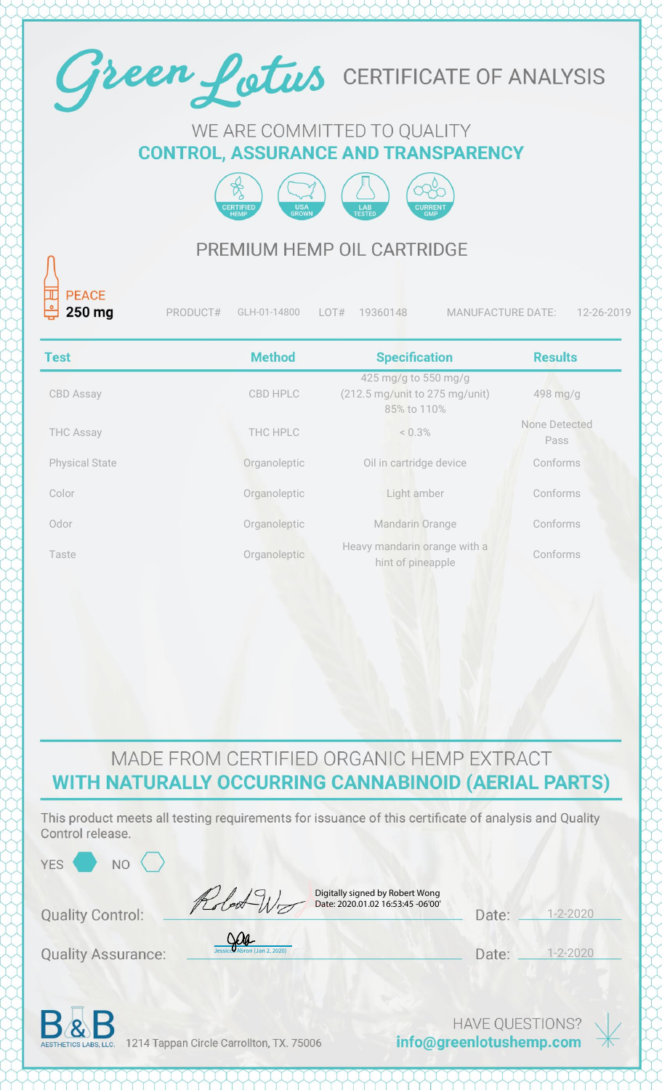

#### WE ARE COMMITTED TO QUALITY **CONTROL, ASSURANCE AND TRANSPARENCY**



### PREMIUM HEMP OIL CARTRIDGE

| 븬<br>$250$ mg         | PRODUCT# | GLH-01-14800  | 19360148<br>LOT#                                                      | <b>MANUFACTURE DATE:</b><br>12-26-2019 |  |
|-----------------------|----------|---------------|-----------------------------------------------------------------------|----------------------------------------|--|
| <b>Test</b>           |          | <b>Method</b> | <b>Specification</b>                                                  | <b>Results</b>                         |  |
| <b>CBD Assay</b>      |          | CBD HPLC      | 425 mg/g to 550 mg/g<br>(212.5 mg/unit to 275 mg/unit)<br>85% to 110% | 498 mg/g                               |  |
| <b>THC Assay</b>      |          | THC HPLC      | $< 0.3\%$                                                             | None Detected<br>Pass                  |  |
| <b>Physical State</b> |          | Organoleptic  | Oil in cartridge device                                               | Conforms                               |  |
| Color                 |          | Organoleptic  | Light amber                                                           | Conforms                               |  |
| Odor                  |          | Organoleptic  | Mandarin Orange                                                       | Conforms                               |  |
| Taste                 |          | Organoleptic  | Heavy mandarin orange with a<br>hint of pineapple                     | Conforms                               |  |
|                       |          |               |                                                                       |                                        |  |

### MADE FROM CERTIFIED ORGANIC HEMP EXTRACT WITH NATURALLY OCCURRING CANNABINOID (AERIAL PARTS)

This product meets all testing requirements for issuance of this certificate of analysis and Quality Control release.

| <b>YES</b><br>N <sub>O</sub> |                                                                      |       |             |
|------------------------------|----------------------------------------------------------------------|-------|-------------|
| <b>Quality Control:</b>      | Digitally signed by Robert Wong<br>Date: 2020.01.02 16:53:45 -06'00' | Date: | $-2 - 2020$ |
| <b>Quality Assurance:</b>    | <u>Sera</u><br>Jessicca Abron (Jan 2, 2020)                          | Date: | $-2 - 2020$ |
|                              |                                                                      |       |             |



1214 Tappan Circle Carrollton, TX. 75006

**HAVE QUESTIONS?** info@greenlotushemp.com